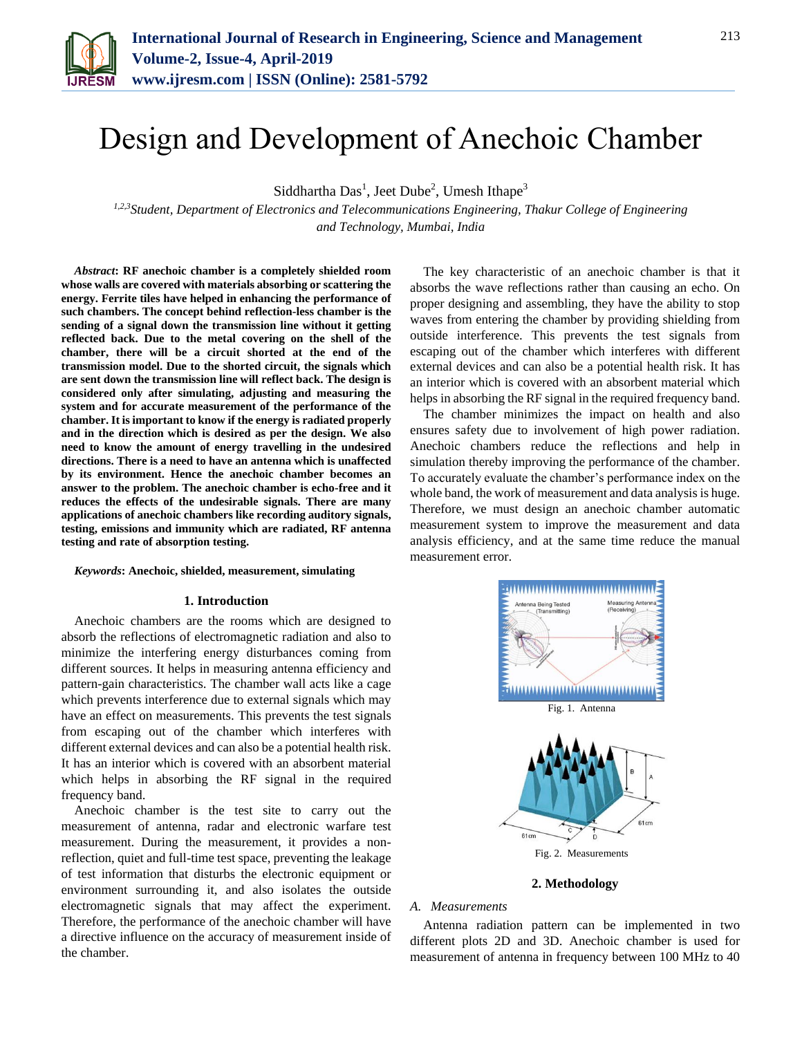

# Design and Development of Anechoic Chamber

Siddhartha Das<sup>1</sup>, Jeet Dube<sup>2</sup>, Umesh Ithape<sup>3</sup>

*1,2,3Student, Department of Electronics and Telecommunications Engineering, Thakur College of Engineering and Technology, Mumbai, India*

*Abstract***: RF anechoic chamber is a completely shielded room whose walls are covered with materials absorbing or scattering the energy. Ferrite tiles have helped in enhancing the performance of such chambers. The concept behind reflection-less chamber is the sending of a signal down the transmission line without it getting reflected back. Due to the metal covering on the shell of the chamber, there will be a circuit shorted at the end of the transmission model. Due to the shorted circuit, the signals which are sent down the transmission line will reflect back. The design is considered only after simulating, adjusting and measuring the system and for accurate measurement of the performance of the chamber. It is important to know if the energy is radiated properly and in the direction which is desired as per the design. We also need to know the amount of energy travelling in the undesired directions. There is a need to have an antenna which is unaffected by its environment. Hence the anechoic chamber becomes an answer to the problem. The anechoic chamber is echo-free and it reduces the effects of the undesirable signals. There are many applications of anechoic chambers like recording auditory signals, testing, emissions and immunity which are radiated, RF antenna testing and rate of absorption testing.**

#### *Keywords***: Anechoic, shielded, measurement, simulating**

#### **1. Introduction**

Anechoic chambers are the rooms which are designed to absorb the reflections of electromagnetic radiation and also to minimize the interfering energy disturbances coming from different sources. It helps in measuring antenna efficiency and pattern-gain characteristics. The chamber wall acts like a cage which prevents interference due to external signals which may have an effect on measurements. This prevents the test signals from escaping out of the chamber which interferes with different external devices and can also be a potential health risk. It has an interior which is covered with an absorbent material which helps in absorbing the RF signal in the required frequency band.

Anechoic chamber is the test site to carry out the measurement of antenna, radar and electronic warfare test measurement. During the measurement, it provides a nonreflection, quiet and full-time test space, preventing the leakage of test information that disturbs the electronic equipment or environment surrounding it, and also isolates the outside electromagnetic signals that may affect the experiment. Therefore, the performance of the anechoic chamber will have a directive influence on the accuracy of measurement inside of the chamber.

The key characteristic of an anechoic chamber is that it absorbs the wave reflections rather than causing an echo. On proper designing and assembling, they have the ability to stop waves from entering the chamber by providing shielding from outside interference. This prevents the test signals from escaping out of the chamber which interferes with different external devices and can also be a potential health risk. It has an interior which is covered with an absorbent material which helps in absorbing the RF signal in the required frequency band.

The chamber minimizes the impact on health and also ensures safety due to involvement of high power radiation. Anechoic chambers reduce the reflections and help in simulation thereby improving the performance of the chamber. To accurately evaluate the chamber's performance index on the whole band, the work of measurement and data analysis is huge. Therefore, we must design an anechoic chamber automatic measurement system to improve the measurement and data analysis efficiency, and at the same time reduce the manual measurement error.



#### **2. Methodology**

## *A. Measurements*

Antenna radiation pattern can be implemented in two different plots 2D and 3D. Anechoic chamber is used for measurement of antenna in frequency between 100 MHz to 40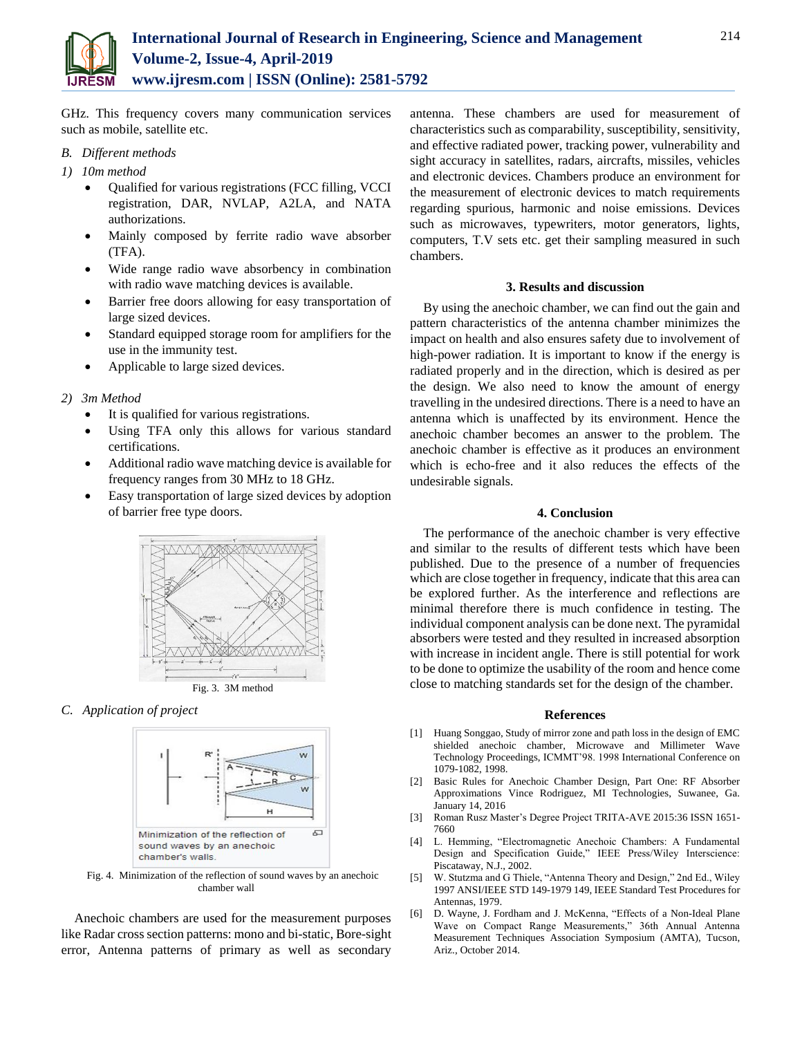

GHz. This frequency covers many communication services such as mobile, satellite etc.

- *B. Different methods*
- *1) 10m method*
	- Qualified for various registrations (FCC filling, VCCI registration, DAR, NVLAP, A2LA, and NATA authorizations.
	- Mainly composed by ferrite radio wave absorber (TFA).
	- Wide range radio wave absorbency in combination with radio wave matching devices is available.
	- Barrier free doors allowing for easy transportation of large sized devices.
	- Standard equipped storage room for amplifiers for the use in the immunity test.
	- Applicable to large sized devices.
- *2) 3m Method*
	- It is qualified for various registrations.
	- Using TFA only this allows for various standard certifications.
	- Additional radio wave matching device is available for frequency ranges from 30 MHz to 18 GHz.
	- Easy transportation of large sized devices by adoption of barrier free type doors.



*C. Application of project* 



Fig. 4. Minimization of the reflection of sound waves by an anechoic chamber wall

Anechoic chambers are used for the measurement purposes like Radar cross section patterns: mono and bi-static, Bore-sight error, Antenna patterns of primary as well as secondary

antenna. These chambers are used for measurement of characteristics such as comparability, susceptibility, sensitivity, and effective radiated power, tracking power, vulnerability and sight accuracy in satellites, radars, aircrafts, missiles, vehicles and electronic devices. Chambers produce an environment for the measurement of electronic devices to match requirements regarding spurious, harmonic and noise emissions. Devices such as microwaves, typewriters, motor generators, lights, computers, T.V sets etc. get their sampling measured in such chambers.

## **3. Results and discussion**

By using the anechoic chamber, we can find out the gain and pattern characteristics of the antenna chamber minimizes the impact on health and also ensures safety due to involvement of high-power radiation. It is important to know if the energy is radiated properly and in the direction, which is desired as per the design. We also need to know the amount of energy travelling in the undesired directions. There is a need to have an antenna which is unaffected by its environment. Hence the anechoic chamber becomes an answer to the problem. The anechoic chamber is effective as it produces an environment which is echo-free and it also reduces the effects of the undesirable signals.

## **4. Conclusion**

The performance of the anechoic chamber is very effective and similar to the results of different tests which have been published. Due to the presence of a number of frequencies which are close together in frequency, indicate that this area can be explored further. As the interference and reflections are minimal therefore there is much confidence in testing. The individual component analysis can be done next. The pyramidal absorbers were tested and they resulted in increased absorption with increase in incident angle. There is still potential for work to be done to optimize the usability of the room and hence come close to matching standards set for the design of the chamber.

### **References**

- [1] Huang Songgao, Study of mirror zone and path loss in the design of EMC shielded anechoic chamber, Microwave and Millimeter Wave Technology Proceedings, ICMMT'98. 1998 International Conference on 1079-1082, 1998.
- [2] Basic Rules for Anechoic Chamber Design, Part One: RF Absorber Approximations Vince Rodriguez, MI Technologies, Suwanee, Ga. January 14, 2016
- [3] Roman Rusz Master's Degree Project TRITA-AVE 2015:36 ISSN 1651- 7660
- [4] L. Hemming, "Electromagnetic Anechoic Chambers: A Fundamental Design and Specification Guide," IEEE Press/Wiley Interscience: Piscataway, N.J., 2002.
- [5] W. Stutzma and G Thiele, "Antenna Theory and Design," 2nd Ed., Wiley 1997 ANSI/IEEE STD 149-1979 149, IEEE Standard Test Procedures for Antennas, 1979.
- [6] D. Wayne, J. Fordham and J. McKenna, "Effects of a Non-Ideal Plane Wave on Compact Range Measurements," 36th Annual Antenna Measurement Techniques Association Symposium (AMTA), Tucson, Ariz., October 2014.